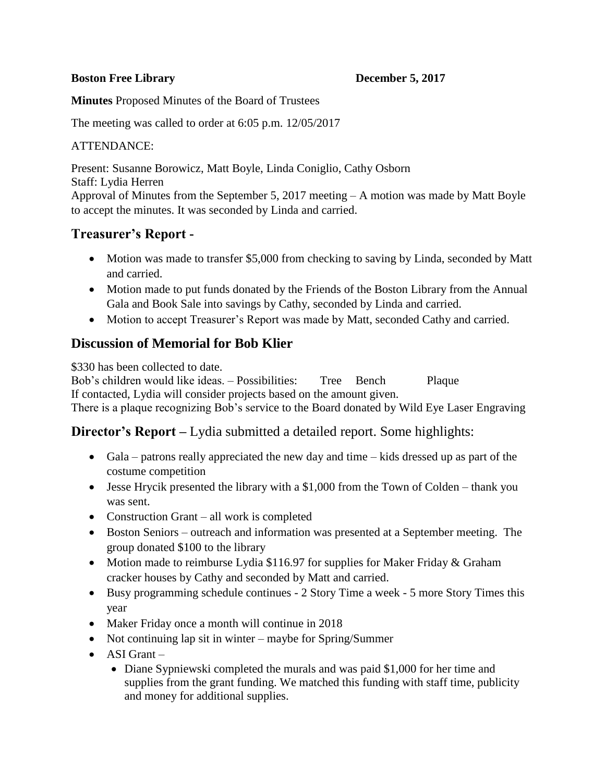### **Boston Free Library Contract Contract Contract December 5, 2017**

**Minutes** Proposed Minutes of the Board of Trustees

The meeting was called to order at 6:05 p.m. 12/05/2017

## ATTENDANCE:

Present: Susanne Borowicz, Matt Boyle, Linda Coniglio, Cathy Osborn Staff: Lydia Herren Approval of Minutes from the September 5, 2017 meeting – A motion was made by Matt Boyle to accept the minutes. It was seconded by Linda and carried.

# **Treasurer's Report -**

- Motion was made to transfer \$5,000 from checking to saving by Linda, seconded by Matt and carried.
- Motion made to put funds donated by the Friends of the Boston Library from the Annual Gala and Book Sale into savings by Cathy, seconded by Linda and carried.
- Motion to accept Treasurer's Report was made by Matt, seconded Cathy and carried.

# **Discussion of Memorial for Bob Klier**

\$330 has been collected to date.

Bob's children would like ideas. – Possibilities: Tree Bench Plaque If contacted, Lydia will consider projects based on the amount given.

There is a plaque recognizing Bob's service to the Board donated by Wild Eye Laser Engraving

## **Director's Report** – Lydia submitted a detailed report. Some highlights:

- Gala patrons really appreciated the new day and time kids dressed up as part of the costume competition
- Jesse Hrycik presented the library with a \$1,000 from the Town of Colden thank you was sent.
- Construction Grant all work is completed
- Boston Seniors outreach and information was presented at a September meeting. The group donated \$100 to the library
- Motion made to reimburse Lydia \$116.97 for supplies for Maker Friday & Graham cracker houses by Cathy and seconded by Matt and carried.
- Busy programming schedule continues 2 Story Time a week 5 more Story Times this year
- Maker Friday once a month will continue in 2018
- Not continuing lap sit in winter maybe for Spring/Summer
- $\bullet$  ASI Grant
	- Diane Sypniewski completed the murals and was paid \$1,000 for her time and supplies from the grant funding. We matched this funding with staff time, publicity and money for additional supplies.